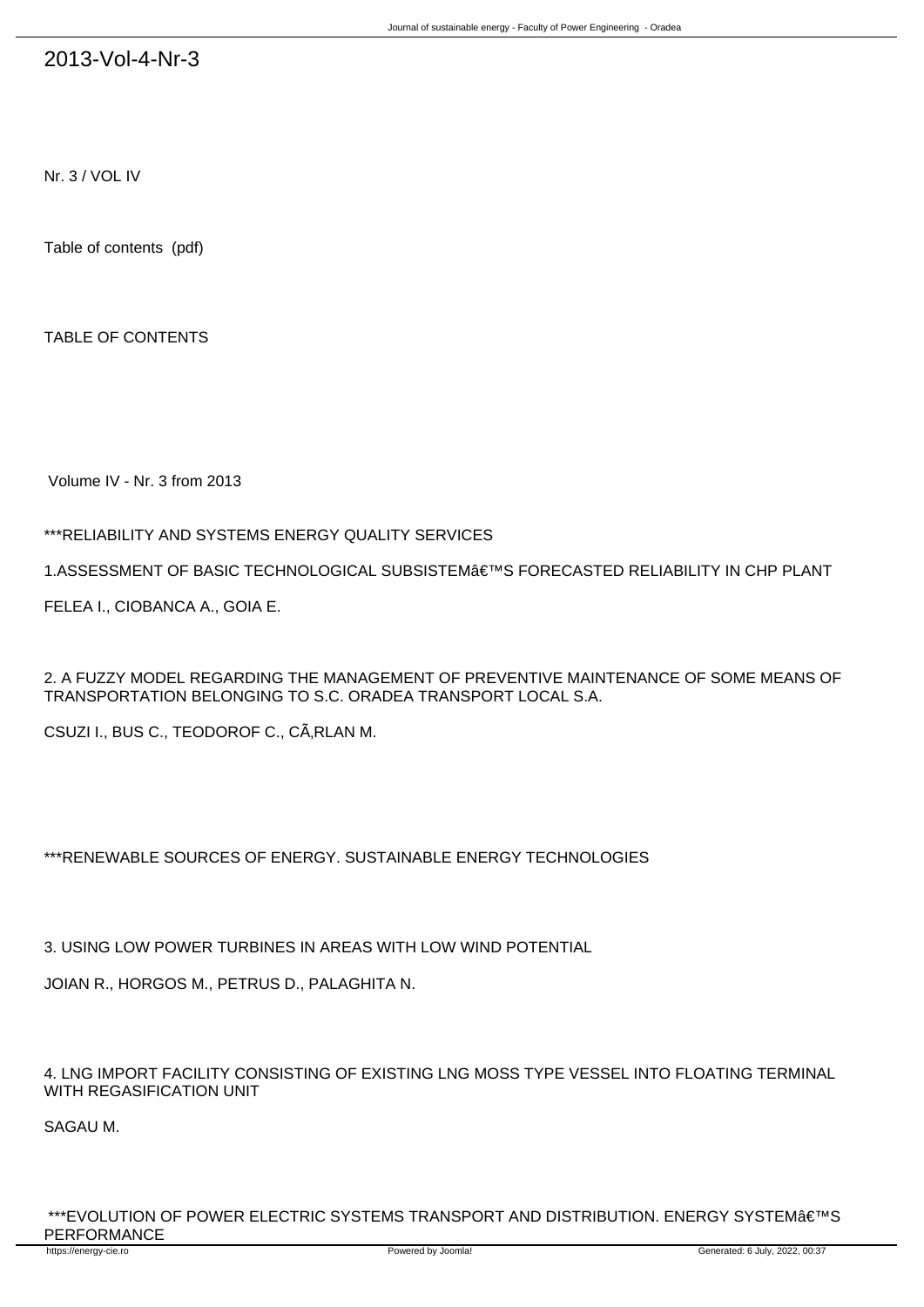# 2013-Vol-4-Nr-3

Nr. 3 / VOL IV

Table of contents (pdf)

TABLE OF CONTENTS

Volume IV - Nr. 3 from 2013

### \*\*\*RELIABILITY AND SYSTEMS ENERGY QUALITY SERVICES

1.ASSESSMENT OF BASIC TECHNOLOGICAL SUBSISTEM'S FORECASTED RELIABILITY IN CHP PLANT

FELEA I., CIOBANCA A., GOIA E.

2. A FUZZY MODEL REGARDING THE MANAGEMENT OF PREVENTIVE MAINTENANCE OF SOME MEANS OF TRANSPORTATION BELONGING TO S.C. ORADEA TRANSPORT LOCAL S.A.

CSUZI I., BUS C., TEODOROF C., CÂRLAN M.

### \*\*\*RENEWABLE SOURCES OF ENERGY. SUSTAINABLE ENERGY TECHNOLOGIES

3. USING LOW POWER TURBINES IN AREAS WITH LOW WIND POTENTIAL

JOIAN R., HORGOS M., PETRUS D., PALAGHITA N.

4. LNG IMPORT FACILITY CONSISTING OF EXISTING LNG MOSS TYPE VESSEL INTO FLOATING TERMINAL WITH REGASIFICATION UNIT

SAGAU M.

\*\*\*EVOLUTION OF POWER ELECTRIC SYSTEMS TRANSPORT AND DISTRIBUTION. ENERGY SYSTEM'S PERFORMANCE<br>https://energy-cie.ro